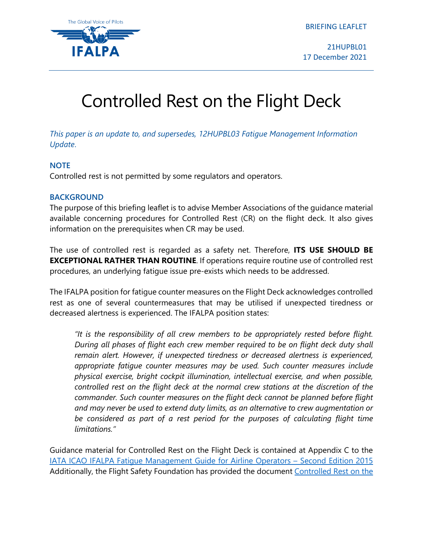BRIEFING LEAFLET



21HUPBL01 17 December 2021

# Controlled Rest on the Flight Deck

*This paper is an update to, and supersedes, 12HUPBL03 Fatigue Management Information Update*.

## **NOTE**

Controlled rest is not permitted by some regulators and operators.

## **BACKGROUND**

The purpose of this briefing leaflet is to advise Member Associations of the guidance material available concerning procedures for Controlled Rest (CR) on the flight deck. It also gives information on the prerequisites when CR may be used.

The use of controlled rest is regarded as a safety net. Therefore, **ITS USE SHOULD BE EXCEPTIONAL RATHER THAN ROUTINE**. If operations require routine use of controlled rest procedures, an underlying fatigue issue pre-exists which needs to be addressed.

The IFALPA position for fatigue counter measures on the Flight Deck acknowledges controlled rest as one of several countermeasures that may be utilised if unexpected tiredness or decreased alertness is experienced. The IFALPA position states:

*"It is the responsibility of all crew members to be appropriately rested before flight. During all phases of flight each crew member required to be on flight deck duty shall remain alert. However, if unexpected tiredness or decreased alertness is experienced, appropriate fatigue counter measures may be used. Such counter measures include physical exercise, bright cockpit illumination, intellectual exercise, and when possible, controlled rest on the flight deck at the normal crew stations at the discretion of the commander. Such counter measures on the flight deck cannot be planned before flight and may never be used to extend duty limits, as an alternative to crew augmentation or*  be considered as part of a rest period for the purposes of calculating flight time *limitations."*

Guidance material for Controlled Rest on the Flight Deck is contained at Appendix C to the [IATA ICAO IFALPA Fatigue Management Guide for Airline Operators –](https://www.unitingaviation.com/publications/FM-Guide-Airline-Operators/#page=150) Second Edition 2015 Additionally, the Flight Safety Foundation has provided the document [Controlled Rest on the](https://flightsafety.org/wp-content/uploads/2018/11/Controlled-Rest.pdf)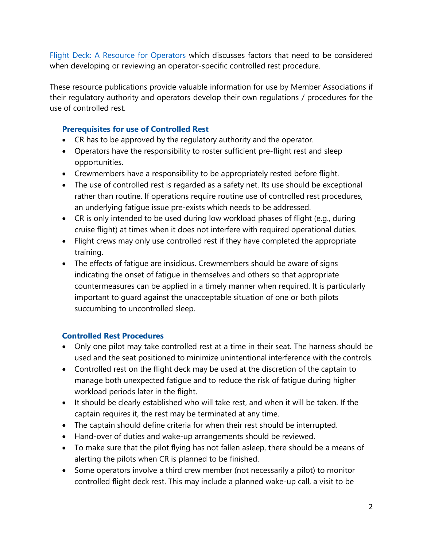[Flight Deck: A Resource for Operators](https://flightsafety.org/wp-content/uploads/2018/11/Controlled-Rest.pdf) which discusses factors that need to be considered when developing or reviewing an operator-specific controlled rest procedure.

These resource publications provide valuable information for use by Member Associations if their regulatory authority and operators develop their own regulations / procedures for the use of controlled rest.

## **Prerequisites for use of Controlled Rest**

- CR has to be approved by the regulatory authority and the operator.
- Operators have the responsibility to roster sufficient pre-flight rest and sleep opportunities.
- Crewmembers have a responsibility to be appropriately rested before flight.
- The use of controlled rest is regarded as a safety net. Its use should be exceptional rather than routine. If operations require routine use of controlled rest procedures, an underlying fatigue issue pre-exists which needs to be addressed.
- CR is only intended to be used during low workload phases of flight (e.g., during cruise flight) at times when it does not interfere with required operational duties.
- Flight crews may only use controlled rest if they have completed the appropriate training.
- The effects of fatigue are insidious. Crewmembers should be aware of signs indicating the onset of fatigue in themselves and others so that appropriate countermeasures can be applied in a timely manner when required. It is particularly important to guard against the unacceptable situation of one or both pilots succumbing to uncontrolled sleep.

## **Controlled Rest Procedures**

- Only one pilot may take controlled rest at a time in their seat. The harness should be used and the seat positioned to minimize unintentional interference with the controls.
- Controlled rest on the flight deck may be used at the discretion of the captain to manage both unexpected fatigue and to reduce the risk of fatigue during higher workload periods later in the flight.
- It should be clearly established who will take rest, and when it will be taken. If the captain requires it, the rest may be terminated at any time.
- The captain should define criteria for when their rest should be interrupted.
- Hand-over of duties and wake-up arrangements should be reviewed.
- To make sure that the pilot flying has not fallen asleep, there should be a means of alerting the pilots when CR is planned to be finished.
- Some operators involve a third crew member (not necessarily a pilot) to monitor controlled flight deck rest. This may include a planned wake-up call, a visit to be